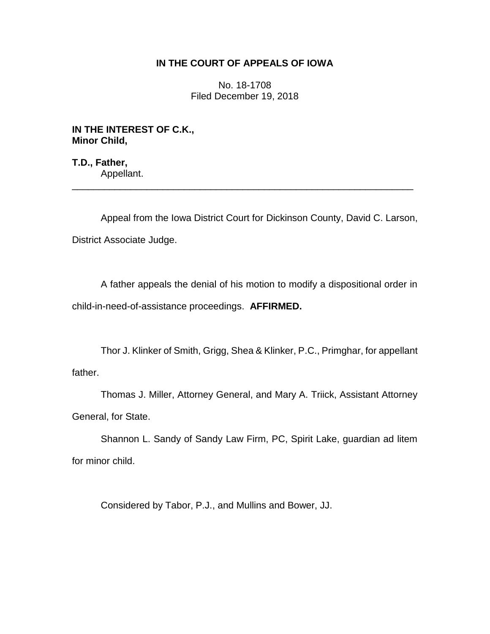# **IN THE COURT OF APPEALS OF IOWA**

No. 18-1708 Filed December 19, 2018

**IN THE INTEREST OF C.K., Minor Child,**

**T.D., Father,** Appellant.

Appeal from the Iowa District Court for Dickinson County, David C. Larson, District Associate Judge.

\_\_\_\_\_\_\_\_\_\_\_\_\_\_\_\_\_\_\_\_\_\_\_\_\_\_\_\_\_\_\_\_\_\_\_\_\_\_\_\_\_\_\_\_\_\_\_\_\_\_\_\_\_\_\_\_\_\_\_\_\_\_\_\_

A father appeals the denial of his motion to modify a dispositional order in child-in-need-of-assistance proceedings. **AFFIRMED.**

Thor J. Klinker of Smith, Grigg, Shea & Klinker, P.C., Primghar, for appellant father.

Thomas J. Miller, Attorney General, and Mary A. Triick, Assistant Attorney General, for State.

Shannon L. Sandy of Sandy Law Firm, PC, Spirit Lake, guardian ad litem for minor child.

Considered by Tabor, P.J., and Mullins and Bower, JJ.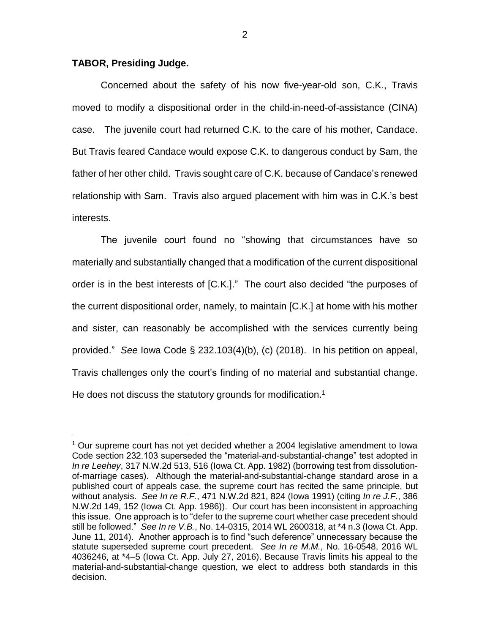### **TABOR, Presiding Judge.**

 $\overline{a}$ 

Concerned about the safety of his now five-year-old son, C.K., Travis moved to modify a dispositional order in the child-in-need-of-assistance (CINA) case. The juvenile court had returned C.K. to the care of his mother, Candace. But Travis feared Candace would expose C.K. to dangerous conduct by Sam, the father of her other child. Travis sought care of C.K. because of Candace's renewed relationship with Sam. Travis also argued placement with him was in C.K.'s best interests.

The juvenile court found no "showing that circumstances have so materially and substantially changed that a modification of the current dispositional order is in the best interests of [C.K.]." The court also decided "the purposes of the current dispositional order, namely, to maintain [C.K.] at home with his mother and sister, can reasonably be accomplished with the services currently being provided." *See* Iowa Code § 232.103(4)(b), (c) (2018). In his petition on appeal, Travis challenges only the court's finding of no material and substantial change. He does not discuss the statutory grounds for modification.<sup>1</sup>

<sup>1</sup> Our supreme court has not yet decided whether a 2004 legislative amendment to Iowa Code section 232.103 superseded the "material-and-substantial-change" test adopted in *In re Leehey*, 317 N.W.2d 513, 516 (Iowa Ct. App. 1982) (borrowing test from dissolutionof-marriage cases). Although the material-and-substantial-change standard arose in a published court of appeals case, the supreme court has recited the same principle, but without analysis. *See In re R.F.*, 471 N.W.2d 821, 824 (Iowa 1991) (citing *In re J.F.*, 386 N.W.2d 149, 152 (Iowa Ct. App. 1986)). Our court has been inconsistent in approaching this issue. One approach is to "defer to the supreme court whether case precedent should still be followed." *See In re V.B.*, No. 14-0315, 2014 WL 2600318, at \*4 n.3 (Iowa Ct. App. June 11, 2014). Another approach is to find "such deference" unnecessary because the statute superseded supreme court precedent. *See In re M.M.*, No. 16-0548, 2016 WL 4036246, at \*4–5 (Iowa Ct. App. July 27, 2016). Because Travis limits his appeal to the material-and-substantial-change question, we elect to address both standards in this decision.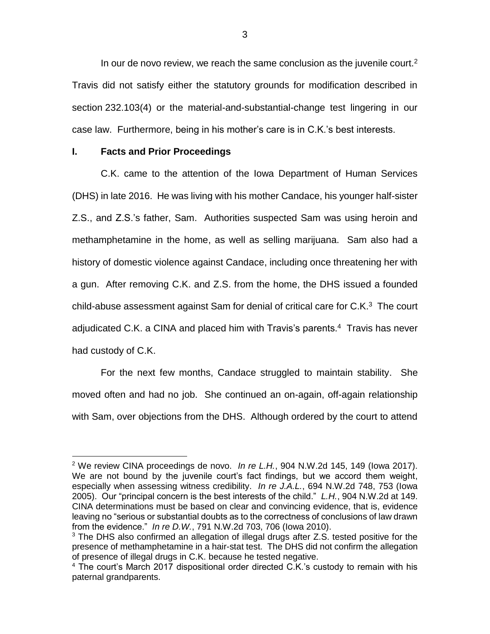In our de novo review, we reach the same conclusion as the juvenile court. $2$ Travis did not satisfy either the statutory grounds for modification described in section 232.103(4) or the material-and-substantial-change test lingering in our case law. Furthermore, being in his mother's care is in C.K.'s best interests.

## **I. Facts and Prior Proceedings**

 $\overline{a}$ 

C.K. came to the attention of the Iowa Department of Human Services (DHS) in late 2016. He was living with his mother Candace, his younger half-sister Z.S., and Z.S.'s father, Sam. Authorities suspected Sam was using heroin and methamphetamine in the home, as well as selling marijuana. Sam also had a history of domestic violence against Candace, including once threatening her with a gun. After removing C.K. and Z.S. from the home, the DHS issued a founded child-abuse assessment against Sam for denial of critical care for C.K.<sup>3</sup> The court adjudicated C.K. a CINA and placed him with Travis's parents.<sup>4</sup> Travis has never had custody of C.K.

For the next few months, Candace struggled to maintain stability. She moved often and had no job. She continued an on-again, off-again relationship with Sam, over objections from the DHS. Although ordered by the court to attend

<sup>2</sup> We review CINA proceedings de novo. *In re L.H.*, 904 N.W.2d 145, 149 (Iowa 2017). We are not bound by the juvenile court's fact findings, but we accord them weight, especially when assessing witness credibility. *In re J.A.L.*, 694 N.W.2d 748, 753 (Iowa 2005). Our "principal concern is the best interests of the child." *L.H.*, 904 N.W.2d at 149. CINA determinations must be based on clear and convincing evidence, that is, evidence leaving no "serious or substantial doubts as to the correctness of conclusions of law drawn from the evidence." *In re D.W.*, 791 N.W.2d 703, 706 (Iowa 2010).

 $3$  The DHS also confirmed an allegation of illegal drugs after Z.S. tested positive for the presence of methamphetamine in a hair-stat test. The DHS did not confirm the allegation of presence of illegal drugs in C.K. because he tested negative.

<sup>&</sup>lt;sup>4</sup> The court's March 2017 dispositional order directed C.K.'s custody to remain with his paternal grandparents.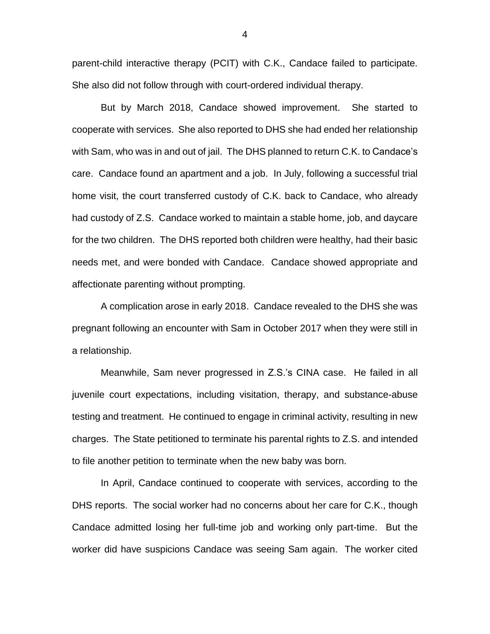parent-child interactive therapy (PCIT) with C.K., Candace failed to participate. She also did not follow through with court-ordered individual therapy.

But by March 2018, Candace showed improvement. She started to cooperate with services. She also reported to DHS she had ended her relationship with Sam, who was in and out of jail. The DHS planned to return C.K. to Candace's care. Candace found an apartment and a job. In July, following a successful trial home visit, the court transferred custody of C.K. back to Candace, who already had custody of Z.S. Candace worked to maintain a stable home, job, and daycare for the two children. The DHS reported both children were healthy, had their basic needs met, and were bonded with Candace. Candace showed appropriate and affectionate parenting without prompting.

A complication arose in early 2018. Candace revealed to the DHS she was pregnant following an encounter with Sam in October 2017 when they were still in a relationship.

Meanwhile, Sam never progressed in Z.S.'s CINA case. He failed in all juvenile court expectations, including visitation, therapy, and substance-abuse testing and treatment. He continued to engage in criminal activity, resulting in new charges. The State petitioned to terminate his parental rights to Z.S. and intended to file another petition to terminate when the new baby was born.

In April, Candace continued to cooperate with services, according to the DHS reports. The social worker had no concerns about her care for C.K., though Candace admitted losing her full-time job and working only part-time. But the worker did have suspicions Candace was seeing Sam again. The worker cited

4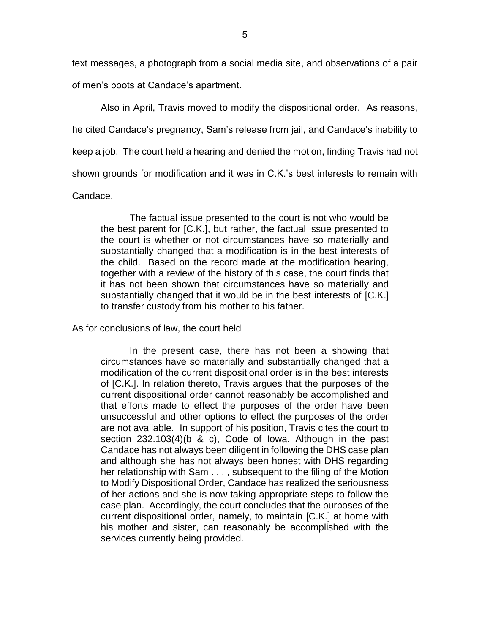text messages, a photograph from a social media site, and observations of a pair

of men's boots at Candace's apartment.

Also in April, Travis moved to modify the dispositional order. As reasons,

he cited Candace's pregnancy, Sam's release from jail, and Candace's inability to

keep a job. The court held a hearing and denied the motion, finding Travis had not

shown grounds for modification and it was in C.K.'s best interests to remain with

Candace.

The factual issue presented to the court is not who would be the best parent for [C.K.], but rather, the factual issue presented to the court is whether or not circumstances have so materially and substantially changed that a modification is in the best interests of the child. Based on the record made at the modification hearing, together with a review of the history of this case, the court finds that it has not been shown that circumstances have so materially and substantially changed that it would be in the best interests of [C.K.] to transfer custody from his mother to his father.

As for conclusions of law, the court held

In the present case, there has not been a showing that circumstances have so materially and substantially changed that a modification of the current dispositional order is in the best interests of [C.K.]. In relation thereto, Travis argues that the purposes of the current dispositional order cannot reasonably be accomplished and that efforts made to effect the purposes of the order have been unsuccessful and other options to effect the purposes of the order are not available. In support of his position, Travis cites the court to section 232.103(4)(b & c), Code of Iowa. Although in the past Candace has not always been diligent in following the DHS case plan and although she has not always been honest with DHS regarding her relationship with Sam . . . , subsequent to the filing of the Motion to Modify Dispositional Order, Candace has realized the seriousness of her actions and she is now taking appropriate steps to follow the case plan. Accordingly, the court concludes that the purposes of the current dispositional order, namely, to maintain [C.K.] at home with his mother and sister, can reasonably be accomplished with the services currently being provided.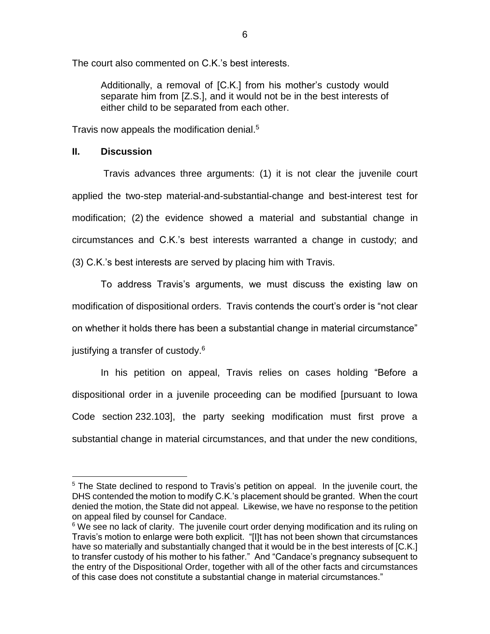The court also commented on C.K.'s best interests.

Additionally, a removal of [C.K.] from his mother's custody would separate him from [Z.S.], and it would not be in the best interests of either child to be separated from each other.

Travis now appeals the modification denial. 5

## **II. Discussion**

 $\overline{a}$ 

Travis advances three arguments: (1) it is not clear the juvenile court applied the two-step material-and-substantial-change and best-interest test for modification; (2) the evidence showed a material and substantial change in circumstances and C.K.'s best interests warranted a change in custody; and (3) C.K.'s best interests are served by placing him with Travis.

To address Travis's arguments, we must discuss the existing law on modification of dispositional orders. Travis contends the court's order is "not clear on whether it holds there has been a substantial change in material circumstance" justifying a transfer of custody.<sup>6</sup>

In his petition on appeal, Travis relies on cases holding "Before a dispositional order in a juvenile proceeding can be modified [pursuant to Iowa Code section 232.103], the party seeking modification must first prove a substantial change in material circumstances, and that under the new conditions,

<sup>&</sup>lt;sup>5</sup> The State declined to respond to Travis's petition on appeal. In the juvenile court, the DHS contended the motion to modify C.K.'s placement should be granted. When the court denied the motion, the State did not appeal. Likewise, we have no response to the petition on appeal filed by counsel for Candace.

 $6$  We see no lack of clarity. The juvenile court order denying modification and its ruling on Travis's motion to enlarge were both explicit. "[I]t has not been shown that circumstances have so materially and substantially changed that it would be in the best interests of [C.K.] to transfer custody of his mother to his father." And "Candace's pregnancy subsequent to the entry of the Dispositional Order, together with all of the other facts and circumstances of this case does not constitute a substantial change in material circumstances."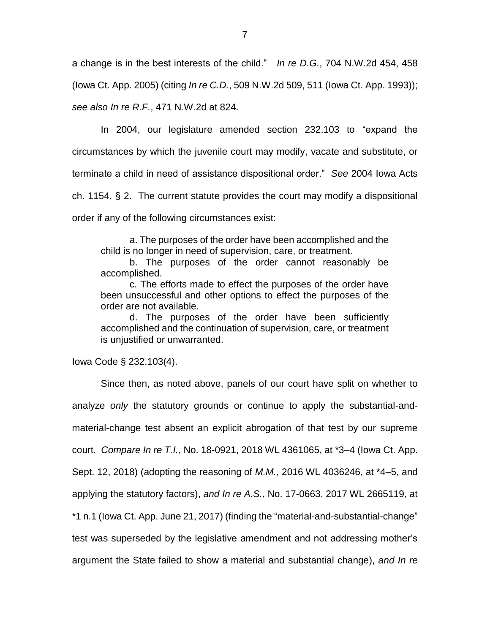a change is in the best interests of the child." *In re D.G.*, 704 N.W.2d 454, 458 (Iowa Ct. App. 2005) (citing *In re C.D.*, 509 N.W.2d 509, 511 (Iowa Ct. App. 1993)); *see also In re R.F.*, 471 N.W.2d at 824.

In 2004, our legislature amended section 232.103 to "expand the circumstances by which the juvenile court may modify, vacate and substitute, or terminate a child in need of assistance dispositional order." *See* 2004 Iowa Acts ch. 1154, § 2. The current statute provides the court may modify a dispositional order if any of the following circumstances exist:

a. The purposes of the order have been accomplished and the child is no longer in need of supervision, care, or treatment.

b. The purposes of the order cannot reasonably be accomplished.

c. The efforts made to effect the purposes of the order have been unsuccessful and other options to effect the purposes of the order are not available.

d. The purposes of the order have been sufficiently accomplished and the continuation of supervision, care, or treatment is unjustified or unwarranted.

Iowa Code § 232.103(4).

Since then, as noted above, panels of our court have split on whether to analyze *only* the statutory grounds or continue to apply the substantial-andmaterial-change test absent an explicit abrogation of that test by our supreme court. *Compare In re T.I.*, No. 18-0921, 2018 WL 4361065, at \*3–4 (Iowa Ct. App. Sept. 12, 2018) (adopting the reasoning of *M.M.*, 2016 WL 4036246, at \*4–5, and applying the statutory factors), *and In re A.S.*, No. 17-0663, 2017 WL 2665119, at \*1 n.1 (Iowa Ct. App. June 21, 2017) (finding the "material-and-substantial-change" test was superseded by the legislative amendment and not addressing mother's argument the State failed to show a material and substantial change), *and In re*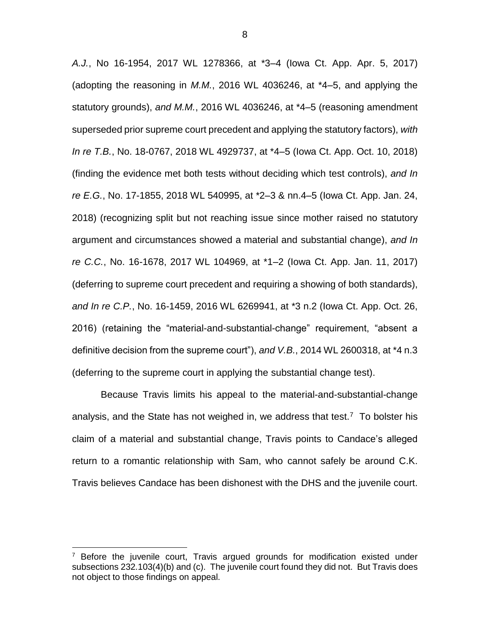*A.J.*, No 16-1954, 2017 WL 1278366, at \*3–4 (Iowa Ct. App. Apr. 5, 2017) (adopting the reasoning in *M.M.*, 2016 WL 4036246, at \*4–5, and applying the statutory grounds), *and M.M.*, 2016 WL 4036246, at \*4–5 (reasoning amendment superseded prior supreme court precedent and applying the statutory factors), *with In re T.B.*, No. 18-0767, 2018 WL 4929737, at \*4–5 (Iowa Ct. App. Oct. 10, 2018) (finding the evidence met both tests without deciding which test controls), *and In re E.G.*, No. 17-1855, 2018 WL 540995, at \*2–3 & nn.4–5 (Iowa Ct. App. Jan. 24, 2018) (recognizing split but not reaching issue since mother raised no statutory argument and circumstances showed a material and substantial change), *and In re C.C.*, No. 16-1678, 2017 WL 104969, at \*1–2 (Iowa Ct. App. Jan. 11, 2017) (deferring to supreme court precedent and requiring a showing of both standards), *and In re C.P.*, No. 16-1459, 2016 WL 6269941, at \*3 n.2 (Iowa Ct. App. Oct. 26, 2016) (retaining the "material-and-substantial-change" requirement, "absent a definitive decision from the supreme court"), *and V.B.*, 2014 WL 2600318, at \*4 n.3 (deferring to the supreme court in applying the substantial change test).

Because Travis limits his appeal to the material-and-substantial-change analysis, and the State has not weighed in, we address that test.<sup>7</sup> To bolster his claim of a material and substantial change, Travis points to Candace's alleged return to a romantic relationship with Sam, who cannot safely be around C.K. Travis believes Candace has been dishonest with the DHS and the juvenile court.

 $\overline{a}$ 

Before the juvenile court, Travis argued grounds for modification existed under subsections 232.103(4)(b) and (c). The juvenile court found they did not. But Travis does not object to those findings on appeal.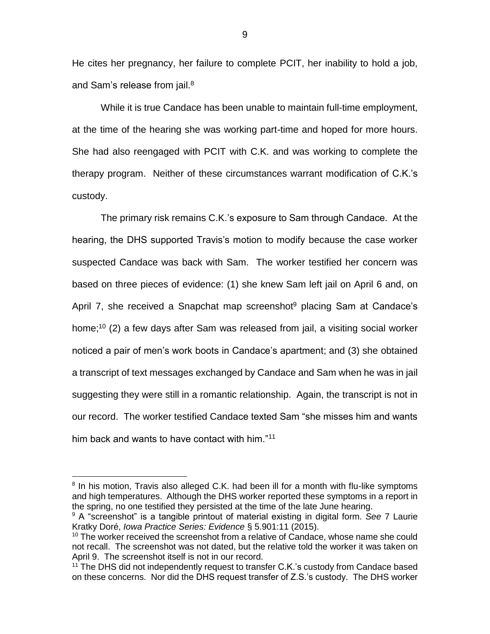He cites her pregnancy, her failure to complete PCIT, her inability to hold a job, and Sam's release from jail.<sup>8</sup>

While it is true Candace has been unable to maintain full-time employment, at the time of the hearing she was working part-time and hoped for more hours. She had also reengaged with PCIT with C.K. and was working to complete the therapy program. Neither of these circumstances warrant modification of C.K.'s custody.

The primary risk remains C.K.'s exposure to Sam through Candace. At the hearing, the DHS supported Travis's motion to modify because the case worker suspected Candace was back with Sam. The worker testified her concern was based on three pieces of evidence: (1) she knew Sam left jail on April 6 and, on April 7, she received a Snapchat map screenshot<sup>9</sup> placing Sam at Candace's home; <sup>10</sup> (2) a few days after Sam was released from jail, a visiting social worker noticed a pair of men's work boots in Candace's apartment; and (3) she obtained a transcript of text messages exchanged by Candace and Sam when he was in jail suggesting they were still in a romantic relationship. Again, the transcript is not in our record. The worker testified Candace texted Sam "she misses him and wants him back and wants to have contact with him."<sup>11</sup>

 $\overline{a}$ 

9

<sup>&</sup>lt;sup>8</sup> In his motion, Travis also alleged C.K. had been ill for a month with flu-like symptoms and high temperatures. Although the DHS worker reported these symptoms in a report in the spring, no one testified they persisted at the time of the late June hearing.

<sup>9</sup> A "screenshot" is a tangible printout of material existing in digital form. *See* 7 Laurie Kratky Doré, *Iowa Practice Series: Evidence* § 5.901:11 (2015).

 $10$  The worker received the screenshot from a relative of Candace, whose name she could not recall. The screenshot was not dated, but the relative told the worker it was taken on April 9. The screenshot itself is not in our record.

<sup>&</sup>lt;sup>11</sup> The DHS did not independently request to transfer C.K.'s custody from Candace based on these concerns. Nor did the DHS request transfer of Z.S.'s custody. The DHS worker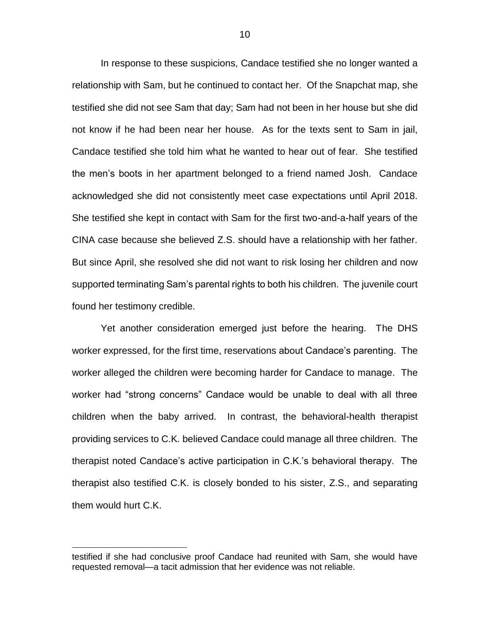In response to these suspicions, Candace testified she no longer wanted a relationship with Sam, but he continued to contact her. Of the Snapchat map, she testified she did not see Sam that day; Sam had not been in her house but she did not know if he had been near her house. As for the texts sent to Sam in jail, Candace testified she told him what he wanted to hear out of fear. She testified the men's boots in her apartment belonged to a friend named Josh. Candace acknowledged she did not consistently meet case expectations until April 2018. She testified she kept in contact with Sam for the first two-and-a-half years of the CINA case because she believed Z.S. should have a relationship with her father. But since April, she resolved she did not want to risk losing her children and now supported terminating Sam's parental rights to both his children. The juvenile court found her testimony credible.

Yet another consideration emerged just before the hearing. The DHS worker expressed, for the first time, reservations about Candace's parenting. The worker alleged the children were becoming harder for Candace to manage. The worker had "strong concerns" Candace would be unable to deal with all three children when the baby arrived. In contrast, the behavioral-health therapist providing services to C.K. believed Candace could manage all three children. The therapist noted Candace's active participation in C.K.'s behavioral therapy. The therapist also testified C.K. is closely bonded to his sister, Z.S., and separating them would hurt C.K.

 $\overline{a}$ 

testified if she had conclusive proof Candace had reunited with Sam, she would have requested removal—a tacit admission that her evidence was not reliable.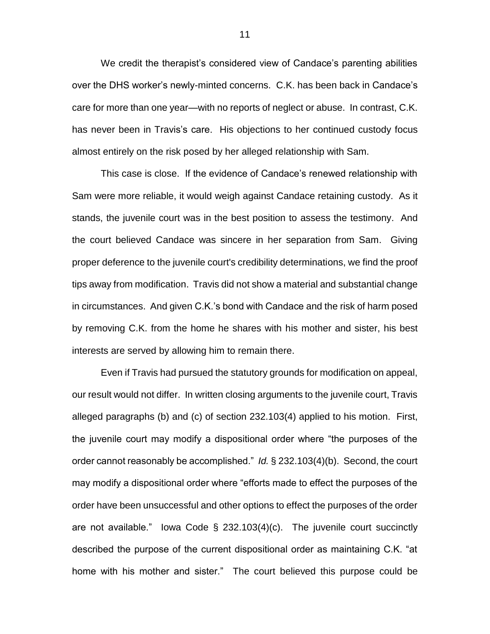We credit the therapist's considered view of Candace's parenting abilities over the DHS worker's newly-minted concerns. C.K. has been back in Candace's care for more than one year—with no reports of neglect or abuse. In contrast, C.K. has never been in Travis's care. His objections to her continued custody focus almost entirely on the risk posed by her alleged relationship with Sam.

This case is close. If the evidence of Candace's renewed relationship with Sam were more reliable, it would weigh against Candace retaining custody. As it stands, the juvenile court was in the best position to assess the testimony. And the court believed Candace was sincere in her separation from Sam. Giving proper deference to the juvenile court's credibility determinations, we find the proof tips away from modification. Travis did not show a material and substantial change in circumstances. And given C.K.'s bond with Candace and the risk of harm posed by removing C.K. from the home he shares with his mother and sister, his best interests are served by allowing him to remain there.

Even if Travis had pursued the statutory grounds for modification on appeal, our result would not differ. In written closing arguments to the juvenile court, Travis alleged paragraphs (b) and (c) of section 232.103(4) applied to his motion. First, the juvenile court may modify a dispositional order where "the purposes of the order cannot reasonably be accomplished." *Id.* § 232.103(4)(b). Second, the court may modify a dispositional order where "efforts made to effect the purposes of the order have been unsuccessful and other options to effect the purposes of the order are not available." Iowa Code  $\S$  232.103(4)(c). The juvenile court succinctly described the purpose of the current dispositional order as maintaining C.K. "at home with his mother and sister." The court believed this purpose could be

11